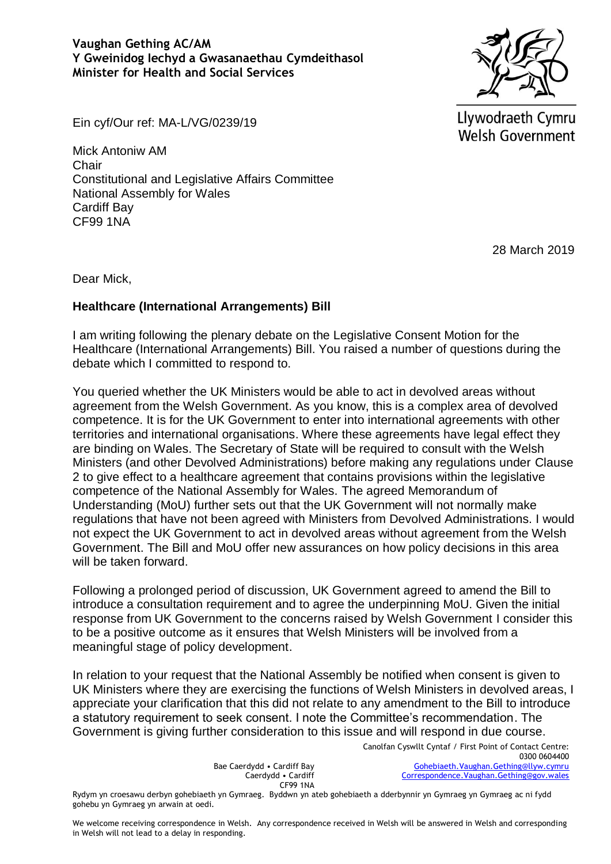

Ein cyf/Our ref: MA-L/VG/0239/19

Mick Antoniw AM Chair Constitutional and Legislative Affairs Committee National Assembly for Wales Cardiff Bay CF99 1NA

Llywodraeth Cymru **Welsh Government** 

28 March 2019

Dear Mick,

## **Healthcare (International Arrangements) Bill**

I am writing following the plenary debate on the Legislative Consent Motion for the Healthcare (International Arrangements) Bill. You raised a number of questions during the debate which I committed to respond to.

You queried whether the UK Ministers would be able to act in devolved areas without agreement from the Welsh Government. As you know, this is a complex area of devolved competence. It is for the UK Government to enter into international agreements with other territories and international organisations. Where these agreements have legal effect they are binding on Wales. The Secretary of State will be required to consult with the Welsh Ministers (and other Devolved Administrations) before making any regulations under Clause 2 to give effect to a healthcare agreement that contains provisions within the legislative competence of the National Assembly for Wales. The agreed Memorandum of Understanding (MoU) further sets out that the UK Government will not normally make regulations that have not been agreed with Ministers from Devolved Administrations. I would not expect the UK Government to act in devolved areas without agreement from the Welsh Government. The Bill and MoU offer new assurances on how policy decisions in this area will be taken forward.

Following a prolonged period of discussion, UK Government agreed to amend the Bill to introduce a consultation requirement and to agree the underpinning MoU. Given the initial response from UK Government to the concerns raised by Welsh Government I consider this to be a positive outcome as it ensures that Welsh Ministers will be involved from a meaningful stage of policy development.

In relation to your request that the National Assembly be notified when consent is given to UK Ministers where they are exercising the functions of Welsh Ministers in devolved areas, I appreciate your clarification that this did not relate to any amendment to the Bill to introduce a statutory requirement to seek consent. I note the Committee's recommendation. The Government is giving further consideration to this issue and will respond in due course.

> Canolfan Cyswllt Cyntaf / First Point of Contact Centre: 0300 0604400 [Gohebiaeth.Vaughan.Gething@llyw.cymru](mailto:Gohebiaeth.Vaughan.Gething@llyw.cymru) [Correspondence.Vaughan.Gething@gov.wales](mailto:Correspondence.Vaughan.Gething@gov.wales)

Bae Caerdydd • Cardiff Bay Caerdydd • Cardiff CF99 1NA

Rydym yn croesawu derbyn gohebiaeth yn Gymraeg. Byddwn yn ateb gohebiaeth a dderbynnir yn Gymraeg yn Gymraeg ac ni fydd gohebu yn Gymraeg yn arwain at oedi.

We welcome receiving correspondence in Welsh. Any correspondence received in Welsh will be answered in Welsh and corresponding in Welsh will not lead to a delay in responding.